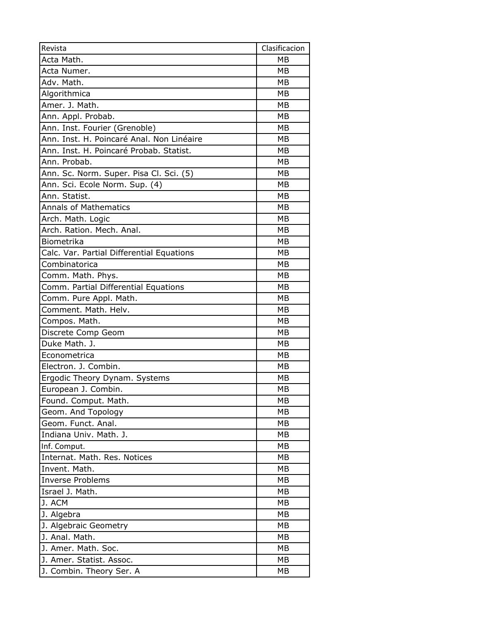| Revista                                   | Clasificacion |
|-------------------------------------------|---------------|
| Acta Math.                                | MB            |
| Acta Numer.                               | MB            |
| Adv. Math.                                | <b>MB</b>     |
| Algorithmica                              | МB            |
| Amer. J. Math.                            | <b>MB</b>     |
| Ann. Appl. Probab.                        | MB            |
| Ann. Inst. Fourier (Grenoble)             | MB            |
| Ann. Inst. H. Poincaré Anal. Non Linéaire | MB            |
| Ann. Inst. H. Poincaré Probab. Statist.   | MB            |
| Ann. Probab.                              | <b>MB</b>     |
| Ann. Sc. Norm. Super. Pisa Cl. Sci. (5)   | MB            |
| Ann. Sci. Ecole Norm. Sup. (4)            | MB            |
| Ann. Statist.                             | MB            |
| <b>Annals of Mathematics</b>              | <b>MB</b>     |
| Arch. Math. Logic                         | <b>MB</b>     |
| Arch. Ration. Mech. Anal.                 | <b>MB</b>     |
| Biometrika                                | <b>MB</b>     |
| Calc. Var. Partial Differential Equations | MB            |
| Combinatorica                             | MB            |
| Comm. Math. Phys.                         | MB            |
| Comm. Partial Differential Equations      | MB            |
| Comm. Pure Appl. Math.                    | <b>MB</b>     |
| Comment. Math. Helv.                      | MB            |
| Compos. Math.                             | MB            |
| Discrete Comp Geom                        | MB            |
| Duke Math. J.                             | MB            |
| Econometrica                              | MB            |
| Electron. J. Combin.                      | MB            |
| Ergodic Theory Dynam. Systems             | <b>MB</b>     |
| European J. Combin.                       | <b>MB</b>     |
| Found. Comput. Math.                      | MB            |
| Geom. And Topology                        | MB            |
| Geom. Funct. Anal.                        | МB            |
| Indiana Univ. Math. J.                    | MB            |
| Inf. Comput.                              | МB            |
| Internat. Math. Res. Notices              | MB            |
| Invent. Math.                             | МB            |
| <b>Inverse Problems</b>                   | МB            |
| Israel J. Math.                           | МB            |
| J. ACM                                    | MВ            |
| J. Algebra                                | MB            |
| J. Algebraic Geometry                     | МB            |
| J. Anal. Math.                            | МB            |
| J. Amer. Math. Soc.                       | МB            |
| J. Amer. Statist. Assoc.                  | МB            |
| J. Combin. Theory Ser. A                  | МB            |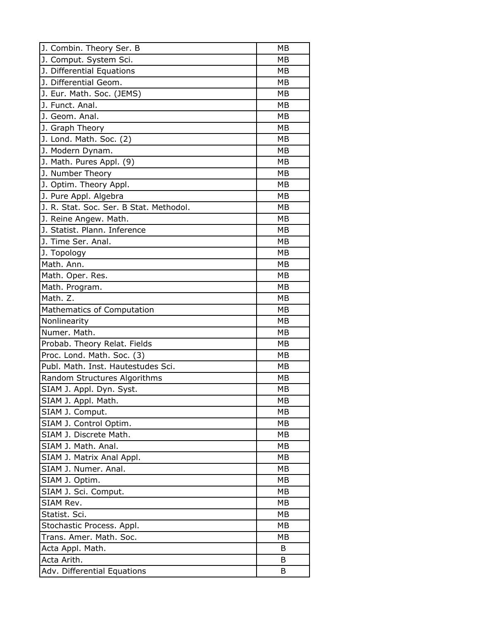| J. Combin. Theory Ser. B                | MB        |
|-----------------------------------------|-----------|
| J. Comput. System Sci.                  | <b>MB</b> |
| J. Differential Equations               | MB        |
| J. Differential Geom.                   | MB        |
| J. Eur. Math. Soc. (JEMS)               | MB        |
| J. Funct. Anal.                         | MB        |
| J. Geom. Anal.                          | <b>MB</b> |
| J. Graph Theory                         | МB        |
| J. Lond. Math. Soc. (2)                 | <b>MB</b> |
| J. Modern Dynam.                        | MB        |
| J. Math. Pures Appl. (9)                | MB        |
| J. Number Theory                        | <b>MB</b> |
| J. Optim. Theory Appl.                  | МB        |
| J. Pure Appl. Algebra                   | <b>MB</b> |
| J. R. Stat. Soc. Ser. B Stat. Methodol. | MB        |
| J. Reine Angew. Math.                   | MB        |
| J. Statist. Plann. Inference            | MB        |
| J. Time Ser. Anal.                      | MB        |
| J. Topology                             | <b>MB</b> |
| Math. Ann.                              | МB        |
| Math. Oper. Res.                        | MB        |
| Math. Program.                          | MB        |
| Math. Z.                                | MB        |
| Mathematics of Computation              | MB        |
| Nonlinearity                            | MB        |
| Numer. Math.                            | <b>MB</b> |
| Probab. Theory Relat. Fields            | MB        |
| Proc. Lond. Math. Soc. (3)              | <b>MB</b> |
| Publ. Math. Inst. Hautestudes Sci.      | MB        |
| Random Structures Algorithms            | MB        |
| SIAM J. Appl. Dyn. Syst.                | MB        |
| SIAM J. Appl. Math.                     | МB        |
| SIAM J. Comput.                         | <b>MB</b> |
| SIAM J. Control Optim.                  | МB        |
| SIAM J. Discrete Math.                  | MB        |
| SIAM J. Math. Anal.                     | MB        |
| SIAM J. Matrix Anal Appl.               | MB        |
| SIAM J. Numer. Anal.                    | <b>MB</b> |
| SIAM J. Optim.                          | МB        |
| SIAM J. Sci. Comput.                    | MB        |
| SIAM Rev.                               | МB        |
| Statist. Sci.                           | МB        |
| Stochastic Process. Appl.               | <b>MB</b> |
| Trans. Amer. Math. Soc.                 | MB        |
| Acta Appl. Math.                        | B         |
| Acta Arith.                             | B         |
| Adv. Differential Equations             | B         |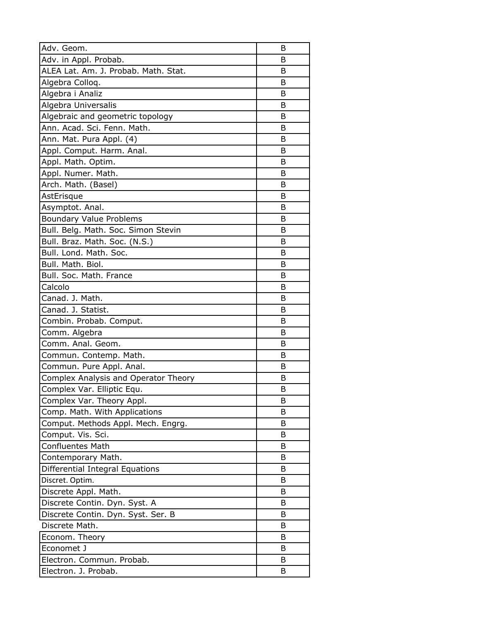| Adv. Geom.                             | B |
|----------------------------------------|---|
| Adv. in Appl. Probab.                  | B |
| ALEA Lat. Am. J. Probab. Math. Stat.   | B |
| Algebra Colloq.                        | B |
| Algebra i Analiz                       | B |
| Algebra Universalis                    | B |
| Algebraic and geometric topology       | B |
| Ann. Acad. Sci. Fenn. Math.            | B |
| Ann. Mat. Pura Appl. (4)               | B |
| Appl. Comput. Harm. Anal.              | В |
| Appl. Math. Optim.                     | B |
| Appl. Numer. Math.                     | B |
| Arch. Math. (Basel)                    | B |
| AstErisque                             | B |
| Asymptot. Anal.                        | B |
| <b>Boundary Value Problems</b>         | B |
| Bull. Belg. Math. Soc. Simon Stevin    | B |
| Bull. Braz. Math. Soc. (N.S.)          | B |
| Bull. Lond. Math. Soc.                 | B |
| Bull. Math. Biol.                      | B |
| Bull. Soc. Math. France                | B |
| Calcolo                                | B |
| Canad. J. Math.                        | B |
| Canad. J. Statist.                     | В |
| Combin. Probab. Comput.                | B |
| Comm. Algebra                          | B |
| Comm. Anal. Geom.                      | B |
| Commun. Contemp. Math.                 | B |
| Commun. Pure Appl. Anal.               | В |
| Complex Analysis and Operator Theory   | B |
| Complex Var. Elliptic Equ.             | B |
| Complex Var. Theory Appl.              | B |
| Comp. Math. With Applications          | В |
| Comput. Methods Appl. Mech. Engrg.     | B |
| Comput. Vis. Sci.                      | B |
| <b>Confluentes Math</b>                | В |
| Contemporary Math.                     | B |
| <b>Differential Integral Equations</b> | B |
| Discret. Optim.                        | B |
| Discrete Appl. Math.                   | B |
| Discrete Contin. Dyn. Syst. A          | B |
| Discrete Contin. Dyn. Syst. Ser. B     | B |
| Discrete Math.                         | B |
| Econom. Theory                         | B |
| Economet J                             | B |
| Electron. Commun. Probab.              | B |
| Electron. J. Probab.                   | В |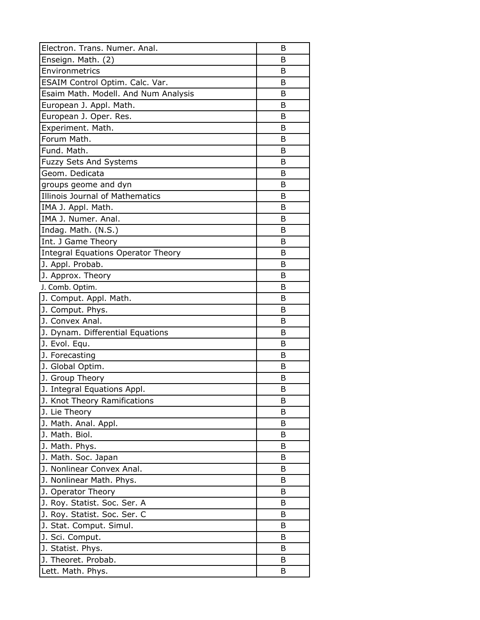| Electron. Trans. Numer. Anal.        | В |
|--------------------------------------|---|
| Enseign. Math. (2)                   | B |
| Environmetrics                       | B |
| ESAIM Control Optim. Calc. Var.      | B |
| Esaim Math. Modell. And Num Analysis | B |
| European J. Appl. Math.              | B |
| European J. Oper. Res.               | B |
| Experiment. Math.                    | B |
| Forum Math.                          | B |
| Fund. Math.                          | B |
| Fuzzy Sets And Systems               | B |
| Geom. Dedicata                       | В |
| groups geome and dyn                 | B |
| Illinois Journal of Mathematics      | B |
| IMA J. Appl. Math.                   | B |
| IMA J. Numer. Anal.                  | B |
| Indag. Math. (N.S.)                  | B |
| Int. J Game Theory                   | B |
| Integral Equations Operator Theory   | B |
| J. Appl. Probab.                     | B |
| J. Approx. Theory                    | B |
| J. Comb. Optim.                      | В |
| J. Comput. Appl. Math.               | B |
| J. Comput. Phys.                     | B |
| J. Convex Anal.                      | B |
| J. Dynam. Differential Equations     | B |
| J. Evol. Equ.                        | B |
| J. Forecasting                       | B |
| J. Global Optim.                     | B |
| J. Group Theory                      | B |
| J. Integral Equations Appl.          | B |
| J. Knot Theory Ramifications         | B |
| J. Lie Theory                        | B |
| J. Math. Anal. Appl.                 | Β |
| J. Math. Biol.                       | B |
| J. Math. Phys.                       | В |
| J. Math. Soc. Japan                  | B |
| J. Nonlinear Convex Anal.            | B |
| J. Nonlinear Math. Phys.             | B |
| J. Operator Theory                   | B |
| J. Roy. Statist. Soc. Ser. A         | В |
| J. Roy. Statist. Soc. Ser. C         | B |
| J. Stat. Comput. Simul.              | В |
| J. Sci. Comput.                      | B |
| J. Statist. Phys.                    | B |
| J. Theoret. Probab.                  | В |
| Lett. Math. Phys.                    | В |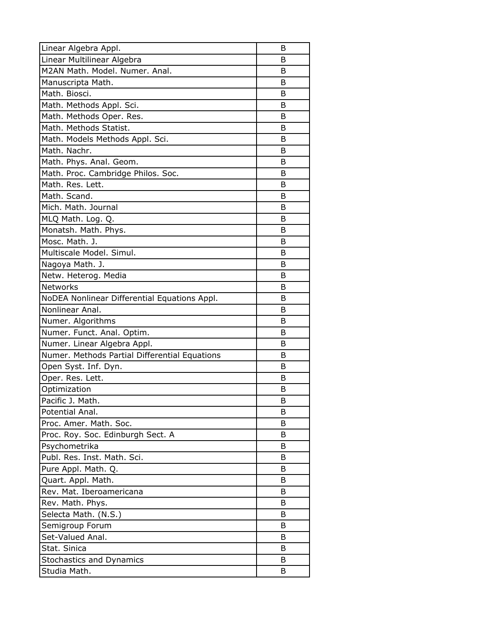| Linear Algebra Appl.                          | B |
|-----------------------------------------------|---|
| Linear Multilinear Algebra                    | В |
| M2AN Math. Model. Numer. Anal.                | B |
| Manuscripta Math.                             | B |
| Math. Biosci.                                 | B |
| Math. Methods Appl. Sci.                      | B |
| Math. Methods Oper. Res.                      | B |
| Math. Methods Statist.                        | B |
| Math. Models Methods Appl. Sci.               | B |
| Math. Nachr.                                  | B |
| Math. Phys. Anal. Geom.                       | B |
| Math. Proc. Cambridge Philos. Soc.            | B |
| Math. Res. Lett.                              | B |
| Math. Scand.                                  | B |
| Mich. Math. Journal                           | В |
| MLQ Math. Log. Q.                             | B |
| Monatsh. Math. Phys.                          | В |
| Mosc. Math. J.                                | B |
| Multiscale Model. Simul.                      | В |
| Nagoya Math. J.                               | B |
| Netw. Heterog. Media                          | B |
| Networks                                      | B |
| NoDEA Nonlinear Differential Equations Appl.  | B |
| Nonlinear Anal.                               | B |
| Numer. Algorithms                             | B |
| Numer. Funct. Anal. Optim.                    | B |
| Numer. Linear Algebra Appl.                   | B |
| Numer. Methods Partial Differential Equations | B |
| Open Syst. Inf. Dyn.                          | B |
| Oper. Res. Lett.                              | B |
| Optimization                                  | B |
| Pacific J. Math.                              | В |
| Potential Anal.                               | B |
| Proc. Amer. Math. Soc.                        | В |
| Proc. Roy. Soc. Edinburgh Sect. A             | B |
| Psychometrika                                 | В |
| Publ. Res. Inst. Math. Sci.                   | B |
| Pure Appl. Math. Q.                           | B |
| Quart. Appl. Math.                            | B |
| Rev. Mat. Iberoamericana                      | B |
| Rev. Math. Phys.                              | В |
| Selecta Math. (N.S.)                          | B |
| Semigroup Forum                               | В |
| Set-Valued Anal.                              | B |
| Stat. Sinica                                  | B |
| Stochastics and Dynamics                      | B |
| Studia Math.                                  | B |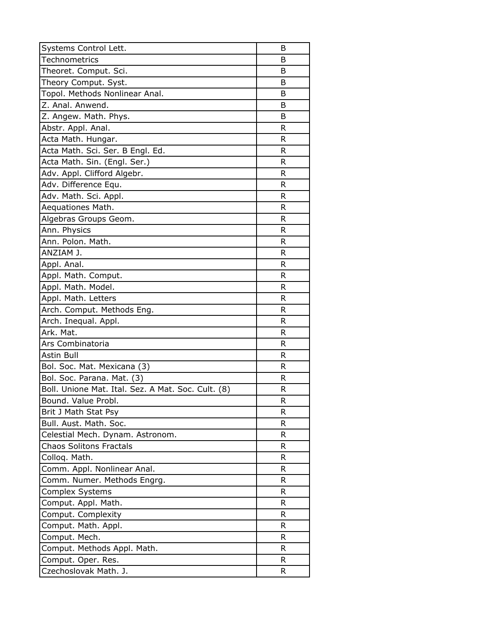| Systems Control Lett.                              | B  |
|----------------------------------------------------|----|
| <b>Technometrics</b>                               | B  |
| Theoret. Comput. Sci.                              | B  |
| Theory Comput. Syst.                               | B  |
| Topol. Methods Nonlinear Anal.                     | B  |
| Z. Anal. Anwend.                                   | B  |
| Z. Angew. Math. Phys.                              | B  |
| Abstr. Appl. Anal.                                 | R  |
| Acta Math. Hungar.                                 | R  |
| Acta Math. Sci. Ser. B Engl. Ed.                   | R  |
| Acta Math. Sin. (Engl. Ser.)                       | R  |
| Adv. Appl. Clifford Algebr.                        | R  |
| Adv. Difference Equ.                               | R  |
| Adv. Math. Sci. Appl.                              | R  |
| Aequationes Math.                                  | R  |
| Algebras Groups Geom.                              | R  |
| Ann. Physics                                       | R  |
| Ann. Polon. Math.                                  | R  |
| ANZIAM J.                                          | R  |
| Appl. Anal.                                        | R  |
| Appl. Math. Comput.                                | R  |
| Appl. Math. Model.                                 | R  |
| Appl. Math. Letters                                | R  |
| Arch. Comput. Methods Eng.                         | R  |
| Arch. Inequal. Appl.                               | R  |
| Ark. Mat.                                          | R  |
| Ars Combinatoria                                   | R  |
| <b>Astin Bull</b>                                  | R  |
| Bol. Soc. Mat. Mexicana (3)                        | R  |
| Bol. Soc. Parana. Mat. (3)                         | R  |
| Boll. Unione Mat. Ital. Sez. A Mat. Soc. Cult. (8) | R  |
| Bound. Value Probl.                                | R  |
| Brit J Math Stat Psy                               | R  |
| Bull. Aust. Math. Soc.                             | R  |
| Celestial Mech. Dynam. Astronom.                   | R  |
| <b>Chaos Solitons Fractals</b>                     | R  |
| Colloq. Math.                                      | R  |
| Comm. Appl. Nonlinear Anal.                        | R  |
| Comm. Numer. Methods Engrg.                        | R  |
| Complex Systems                                    | R  |
| Comput. Appl. Math.                                | R  |
| Comput. Complexity                                 | R  |
| Comput. Math. Appl.                                | R  |
| Comput. Mech.                                      | R  |
| Comput. Methods Appl. Math.                        | R  |
| Comput. Oper. Res.                                 | R  |
| Czechoslovak Math. J.                              | R. |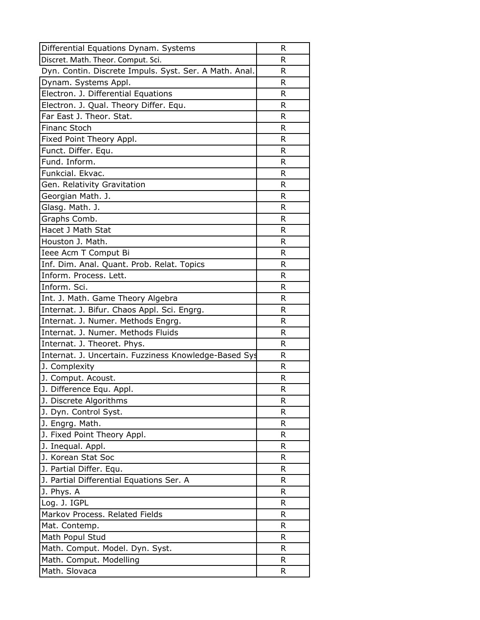| Differential Equations Dynam. Systems                  | R  |
|--------------------------------------------------------|----|
| Discret. Math. Theor. Comput. Sci.                     | R  |
| Dyn. Contin. Discrete Impuls. Syst. Ser. A Math. Anal. | R  |
| Dynam. Systems Appl.                                   | R  |
| Electron. J. Differential Equations                    | R  |
| Electron. J. Qual. Theory Differ. Equ.                 | R  |
| Far East J. Theor. Stat.                               | R  |
| <b>Financ Stoch</b>                                    | R  |
| Fixed Point Theory Appl.                               | R  |
| Funct. Differ. Equ.                                    | R  |
| Fund. Inform.                                          | R  |
| Funkcial. Ekvac.                                       | R  |
| Gen. Relativity Gravitation                            | R  |
| Georgian Math. J.                                      | R  |
| Glasg. Math. J.                                        | R. |
| Graphs Comb.                                           | R  |
| Hacet J Math Stat                                      | R  |
| Houston J. Math.                                       | R  |
| Ieee Acm T Comput Bi                                   | R  |
| Inf. Dim. Anal. Quant. Prob. Relat. Topics             | R  |
| Inform. Process. Lett.                                 | R  |
| Inform. Sci.                                           | R  |
| Int. J. Math. Game Theory Algebra                      | R  |
| Internat. J. Bifur. Chaos Appl. Sci. Engrg.            | R  |
| Internat. J. Numer. Methods Engrg.                     | R  |
| Internat. J. Numer. Methods Fluids                     | R  |
| Internat. J. Theoret. Phys.                            | R  |
| Internat. J. Uncertain. Fuzziness Knowledge-Based Sys  | R  |
| J. Complexity                                          | R  |
| J. Comput. Acoust.                                     | R  |
| J. Difference Equ. Appl.                               | R  |
| J. Discrete Algorithms                                 | R  |
| J. Dyn. Control Syst.                                  | R  |
| J. Engrg. Math.                                        | R  |
| J. Fixed Point Theory Appl.                            | R  |
| J. Inequal. Appl.                                      | R  |
| J. Korean Stat Soc                                     | R  |
| J. Partial Differ. Equ.                                | R  |
| J. Partial Differential Equations Ser. A               | R  |
| J. Phys. A                                             | R  |
| Log. J. IGPL                                           | R  |
| Markov Process. Related Fields                         | R  |
| Mat. Contemp.                                          | R  |
| Math Popul Stud                                        | R  |
| Math. Comput. Model. Dyn. Syst.                        | R  |
| Math. Comput. Modelling                                | R  |
| Math. Slovaca                                          | R  |